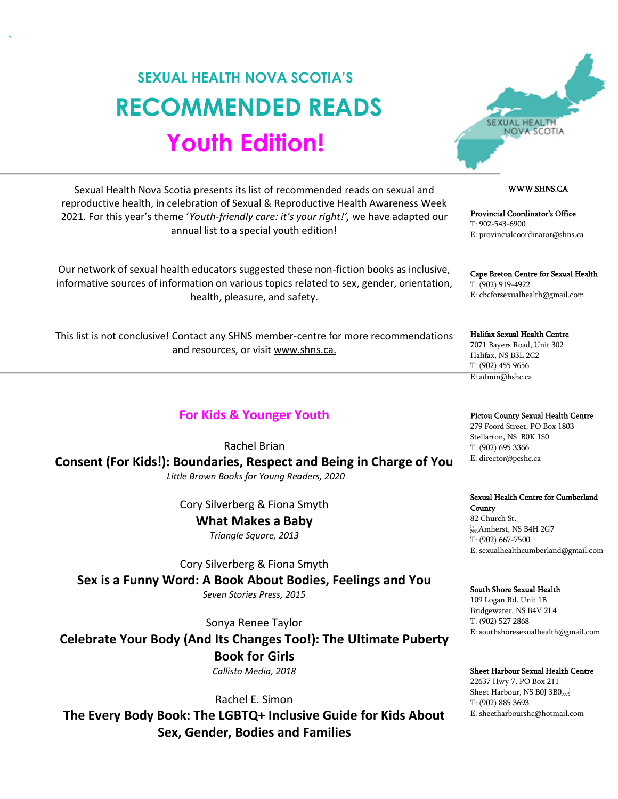# **SEXUAL HEALTH NOVA SCOTIA'S RECOMMENDED READS Youth Edition!**



## WWW.SHNS.CA

Provincial Coordinator's Office T: 902-543-6900 E: provincialcoordinator@shns.ca

Cape Breton Centre for Sexual Health T: (902) 919-4922 E: cbcforsexualhealth@gmail.com

Halifax Sexual Health Centre 7071 Bayers Road, Unit 302 Halifax, NS B3L 2C2 T: (902) 455 9656 E: admin@hshc.ca

Pictou County Sexual Health Centre

279 Foord Street, PO Box 1803 Stellarton, NS B0K 1S0 T: (902) 695 3366 E: director@pcshc.ca

#### Sexual Health Centre for Cumberland

**County** 82 Church St. SEPAmherst, NS B4H 2G7 T: (902) 667-7500 E: sexualhealthcumberland@gmail.com

#### South Shore Sexual Health

109 Logan Rd. Unit 1B Bridgewater, NS B4V 2L4 T: (902) 527 2868 E: southshoresexualhealth@gmail.com

#### Sheet Harbour Sexual Health Centre

22637 Hwy 7, PO Box 211 Sheet Harbour, NS B0J 3B0 T: (902) 885 3693 E: sheetharbourshc@hotmail.com

Sexual Health Nova Scotia presents its list of recommended reads on sexual and reproductive health, in celebration of Sexual & Reproductive Health Awareness Week 2021. For this year's theme '*Youth-friendly care: it's your right!',* we have adapted our annual list to a special youth edition!

Our network of sexual health educators suggested these non-fiction books as inclusive, informative sources of information on various topics related to sex, gender, orientation, health, pleasure, and safety.

This list is not conclusive! Contact any SHNS member-centre for more recommendations and resources, or visit www.shns.ca.

## **For Kids & Younger Youth**

Rachel Brian

**Consent (For Kids!): Boundaries, Respect and Being in Charge of You**

*Little Brown Books for Young Readers, 2020*

Cory Silverberg & Fiona Smyth

**What Makes a Baby** *Triangle Square, 2013*

Cory Silverberg & Fiona Smyth **Sex is a Funny Word: A Book About Bodies, Feelings and You** *Seven Stories Press, 2015*

Sonya Renee Taylor

**Celebrate Your Body (And Its Changes Too!): The Ultimate Puberty Book for Girls** *Callisto Media, 2018*

Rachel E. Simon **The Every Body Book: The LGBTQ+ Inclusive Guide for Kids About Sex, Gender, Bodies and Families**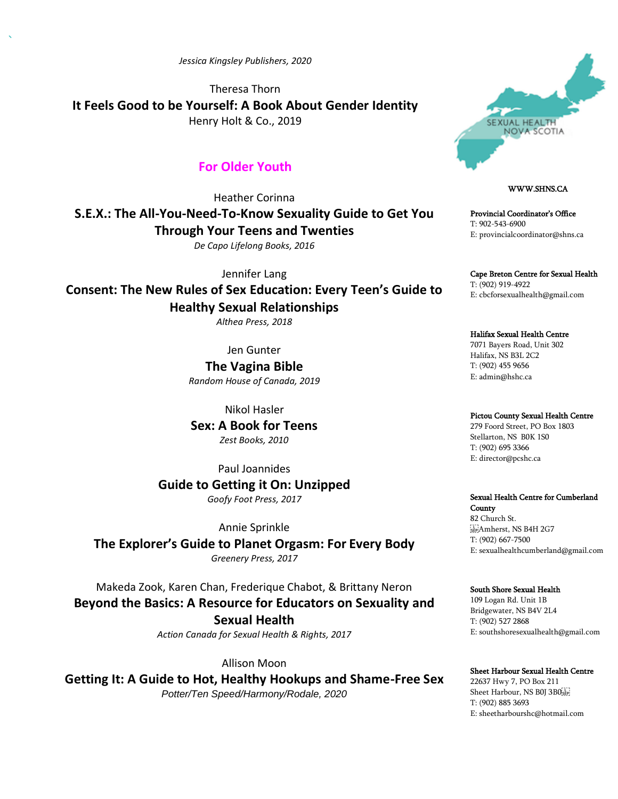*Jessica Kingsley Publishers, 2020*

Theresa Thorn **It Feels Good to be Yourself: A Book About Gender Identity** Henry Holt & Co., 2019

## **For Older Youth**

Heather Corinna

**S.E.X.: The All-You-Need-To-Know Sexuality Guide to Get You Through Your Teens and Twenties** *De Capo Lifelong Books, 2016*

Jennifer Lang

**Consent: The New Rules of Sex Education: Every Teen's Guide to Healthy Sexual Relationships**

*Althea Press, 2018*

Jen Gunter

**The Vagina Bible** *Random House of Canada, 2019*

Nikol Hasler **Sex: A Book for Teens**

*Zest Books, 2010*

Paul Joannides

**Guide to Getting it On: Unzipped** *Goofy Foot Press, 2017*

Annie Sprinkle

**The Explorer's Guide to Planet Orgasm: For Every Body** *Greenery Press, 2017*

Makeda Zook, Karen Chan, Frederique Chabot, & Brittany Neron **Beyond the Basics: A Resource for Educators on Sexuality and Sexual Health**

*Action Canada for Sexual Health & Rights, 2017*

Allison Moon **Getting It: A Guide to Hot, Healthy Hookups and Shame-Free Sex**

*Potter/Ten Speed/Harmony/Rodale, 2020*



## WWW.SHNS.CA

Provincial Coordinator's Office T: 902-543-6900 E: provincialcoordinator@shns.ca

Cape Breton Centre for Sexual Health T: (902) 919-4922 E: cbcforsexualhealth@gmail.com

Halifax Sexual Health Centre 7071 Bayers Road, Unit 302 Halifax, NS B3L 2C2 T: (902) 455 9656 E: admin@hshc.ca

## Pictou County Sexual Health Centre

279 Foord Street, PO Box 1803 Stellarton, NS B0K 1S0 T: (902) 695 3366 E: director@pcshc.ca

## Sexual Health Centre for Cumberland

County 82 Church St. SEPAmherst, NS B4H 2G7 T: (902) 667-7500 E: sexualhealthcumberland@gmail.com

## South Shore Sexual Health

109 Logan Rd. Unit 1B Bridgewater, NS B4V 2L4 T: (902) 527 2868 E: southshoresexualhealth@gmail.com

## Sheet Harbour Sexual Health Centre

22637 Hwy 7, PO Box 211 Sheet Harbour, NS B0J 3B0 T: (902) 885 3693 E: sheetharbourshc@hotmail.com